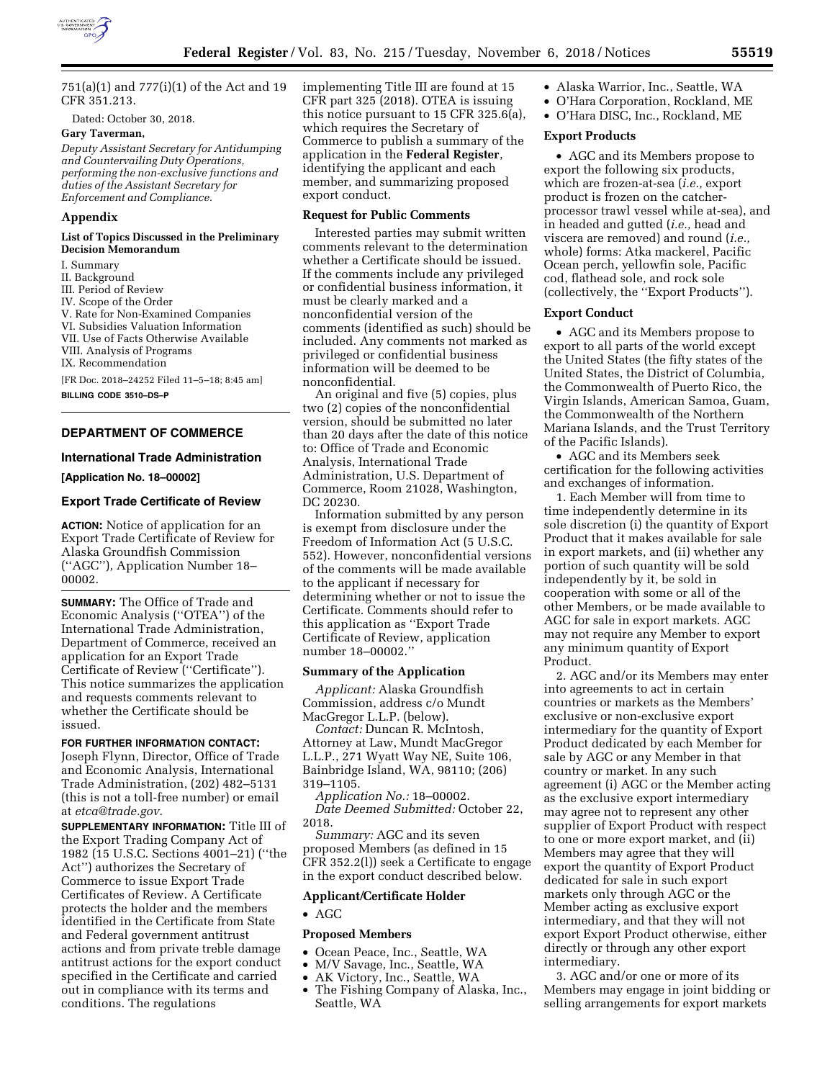

751(a)(1) and 777(i)(1) of the Act and 19 CFR 351.213.

Dated: October 30, 2018.

# **Gary Taverman,**

*Deputy Assistant Secretary for Antidumping and Countervailing Duty Operations, performing the non-exclusive functions and duties of the Assistant Secretary for Enforcement and Compliance.* 

### **Appendix**

#### **List of Topics Discussed in the Preliminary Decision Memorandum**

- I. Summary
- II. Background
- III. Period of Review
- IV. Scope of the Order
- V. Rate for Non-Examined Companies
- VI. Subsidies Valuation Information
- VII. Use of Facts Otherwise Available
- VIII. Analysis of Programs IX. Recommendation

[FR Doc. 2018–24252 Filed 11–5–18; 8:45 am]

**BILLING CODE 3510–DS–P** 

## **DEPARTMENT OF COMMERCE**

### **International Trade Administration**

**[Application No. 18–00002]** 

## **Export Trade Certificate of Review**

**ACTION:** Notice of application for an Export Trade Certificate of Review for Alaska Groundfish Commission (''AGC''), Application Number 18– 00002.

**SUMMARY:** The Office of Trade and Economic Analysis (''OTEA'') of the International Trade Administration, Department of Commerce, received an application for an Export Trade Certificate of Review (''Certificate''). This notice summarizes the application and requests comments relevant to whether the Certificate should be issued.

# **FOR FURTHER INFORMATION CONTACT:**  Joseph Flynn, Director, Office of Trade

and Economic Analysis, International Trade Administration, (202) 482–5131 (this is not a toll-free number) or email at *[etca@trade.gov.](mailto:etca@trade.gov)* 

**SUPPLEMENTARY INFORMATION:** Title III of the Export Trading Company Act of 1982 (15 U.S.C. Sections 4001–21) (''the Act'') authorizes the Secretary of Commerce to issue Export Trade Certificates of Review. A Certificate protects the holder and the members identified in the Certificate from State and Federal government antitrust actions and from private treble damage antitrust actions for the export conduct specified in the Certificate and carried out in compliance with its terms and conditions. The regulations

implementing Title III are found at 15 CFR part 325 (2018). OTEA is issuing this notice pursuant to 15 CFR 325.6(a), which requires the Secretary of Commerce to publish a summary of the application in the **Federal Register**, identifying the applicant and each member, and summarizing proposed export conduct.

# **Request for Public Comments**

Interested parties may submit written comments relevant to the determination whether a Certificate should be issued. If the comments include any privileged or confidential business information, it must be clearly marked and a nonconfidential version of the comments (identified as such) should be included. Any comments not marked as privileged or confidential business information will be deemed to be nonconfidential.

An original and five (5) copies, plus two (2) copies of the nonconfidential version, should be submitted no later than 20 days after the date of this notice to: Office of Trade and Economic Analysis, International Trade Administration, U.S. Department of Commerce, Room 21028, Washington, DC 20230.

Information submitted by any person is exempt from disclosure under the Freedom of Information Act (5 U.S.C. 552). However, nonconfidential versions of the comments will be made available to the applicant if necessary for determining whether or not to issue the Certificate. Comments should refer to this application as ''Export Trade Certificate of Review, application number 18–00002.''

#### **Summary of the Application**

*Applicant:* Alaska Groundfish Commission, address c/o Mundt MacGregor L.L.P. (below).

*Contact:* Duncan R. McIntosh, Attorney at Law, Mundt MacGregor L.L.P., 271 Wyatt Way NE, Suite 106, Bainbridge Island, WA, 98110; (206) 319–1105.

*Application No.:* 18–00002. *Date Deemed Submitted:* October 22, 2018.

*Summary:* AGC and its seven proposed Members (as defined in 15 CFR 352.2(l)) seek a Certificate to engage in the export conduct described below.

#### **Applicant/Certificate Holder**

• AGC

# **Proposed Members**

- Ocean Peace, Inc., Seattle, WA<br>• M/V Savage, Inc., Seattle, WA
- M/V Savage, Inc., Seattle, WA
- AK Victory, Inc., Seattle, WA
- The Fishing Company of Alaska, Inc., Seattle, WA
- Alaska Warrior, Inc., Seattle, WA
- O'Hara Corporation, Rockland, ME
- O'Hara DISC, Inc., Rockland, ME

## **Export Products**

• AGC and its Members propose to export the following six products, which are frozen-at-sea (*i.e.,* export product is frozen on the catcherprocessor trawl vessel while at-sea), and in headed and gutted (*i.e.,* head and viscera are removed) and round (*i.e.,*  whole) forms: Atka mackerel, Pacific Ocean perch, yellowfin sole, Pacific cod, flathead sole, and rock sole (collectively, the ''Export Products'').

## **Export Conduct**

• AGC and its Members propose to export to all parts of the world except the United States (the fifty states of the United States, the District of Columbia, the Commonwealth of Puerto Rico, the Virgin Islands, American Samoa, Guam, the Commonwealth of the Northern Mariana Islands, and the Trust Territory of the Pacific Islands).

• AGC and its Members seek certification for the following activities and exchanges of information.

1. Each Member will from time to time independently determine in its sole discretion (i) the quantity of Export Product that it makes available for sale in export markets, and (ii) whether any portion of such quantity will be sold independently by it, be sold in cooperation with some or all of the other Members, or be made available to AGC for sale in export markets. AGC may not require any Member to export any minimum quantity of Export Product.

2. AGC and/or its Members may enter into agreements to act in certain countries or markets as the Members' exclusive or non-exclusive export intermediary for the quantity of Export Product dedicated by each Member for sale by AGC or any Member in that country or market. In any such agreement (i) AGC or the Member acting as the exclusive export intermediary may agree not to represent any other supplier of Export Product with respect to one or more export market, and (ii) Members may agree that they will export the quantity of Export Product dedicated for sale in such export markets only through AGC or the Member acting as exclusive export intermediary, and that they will not export Export Product otherwise, either directly or through any other export intermediary.

3. AGC and/or one or more of its Members may engage in joint bidding or selling arrangements for export markets